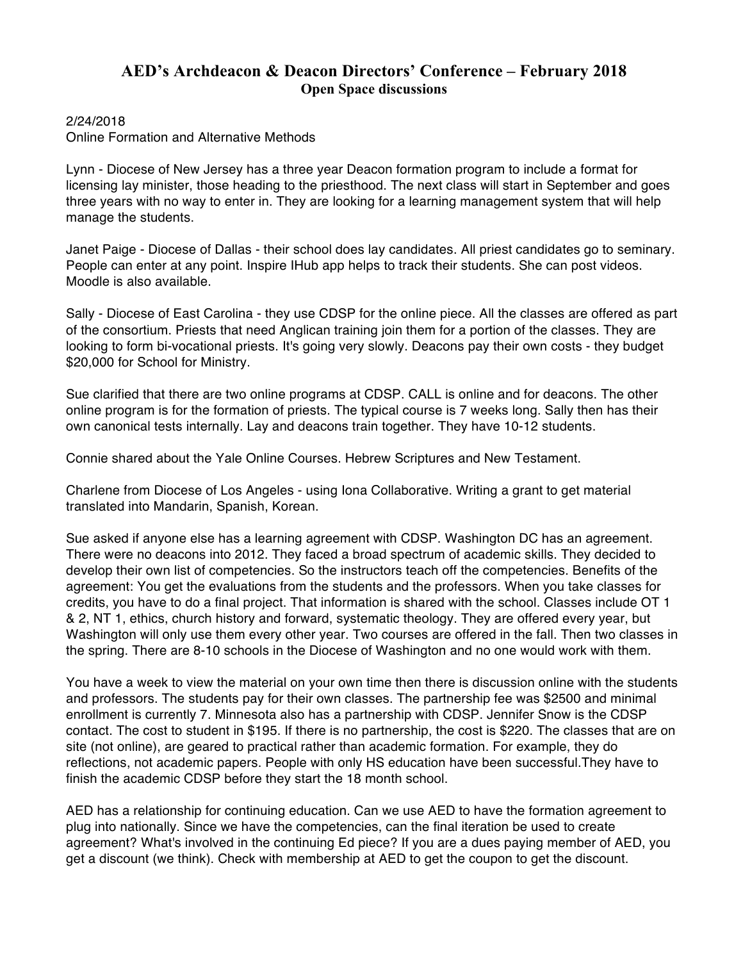## **AED's Archdeacon & Deacon Directors' Conference – February 2018 Open Space discussions**

## 2/24/2018

Online Formation and Alternative Methods

Lynn - Diocese of New Jersey has a three year Deacon formation program to include a format for licensing lay minister, those heading to the priesthood. The next class will start in September and goes three years with no way to enter in. They are looking for a learning management system that will help manage the students.

Janet Paige - Diocese of Dallas - their school does lay candidates. All priest candidates go to seminary. People can enter at any point. Inspire IHub app helps to track their students. She can post videos. Moodle is also available.

Sally - Diocese of East Carolina - they use CDSP for the online piece. All the classes are offered as part of the consortium. Priests that need Anglican training join them for a portion of the classes. They are looking to form bi-vocational priests. It's going very slowly. Deacons pay their own costs - they budget \$20,000 for School for Ministry.

Sue clarified that there are two online programs at CDSP. CALL is online and for deacons. The other online program is for the formation of priests. The typical course is 7 weeks long. Sally then has their own canonical tests internally. Lay and deacons train together. They have 10-12 students.

Connie shared about the Yale Online Courses. Hebrew Scriptures and New Testament.

Charlene from Diocese of Los Angeles - using Iona Collaborative. Writing a grant to get material translated into Mandarin, Spanish, Korean.

Sue asked if anyone else has a learning agreement with CDSP. Washington DC has an agreement. There were no deacons into 2012. They faced a broad spectrum of academic skills. They decided to develop their own list of competencies. So the instructors teach off the competencies. Benefits of the agreement: You get the evaluations from the students and the professors. When you take classes for credits, you have to do a final project. That information is shared with the school. Classes include OT 1 & 2, NT 1, ethics, church history and forward, systematic theology. They are offered every year, but Washington will only use them every other year. Two courses are offered in the fall. Then two classes in the spring. There are 8-10 schools in the Diocese of Washington and no one would work with them.

You have a week to view the material on your own time then there is discussion online with the students and professors. The students pay for their own classes. The partnership fee was \$2500 and minimal enrollment is currently 7. Minnesota also has a partnership with CDSP. Jennifer Snow is the CDSP contact. The cost to student in \$195. If there is no partnership, the cost is \$220. The classes that are on site (not online), are geared to practical rather than academic formation. For example, they do reflections, not academic papers. People with only HS education have been successful.They have to finish the academic CDSP before they start the 18 month school.

AED has a relationship for continuing education. Can we use AED to have the formation agreement to plug into nationally. Since we have the competencies, can the final iteration be used to create agreement? What's involved in the continuing Ed piece? If you are a dues paying member of AED, you get a discount (we think). Check with membership at AED to get the coupon to get the discount.